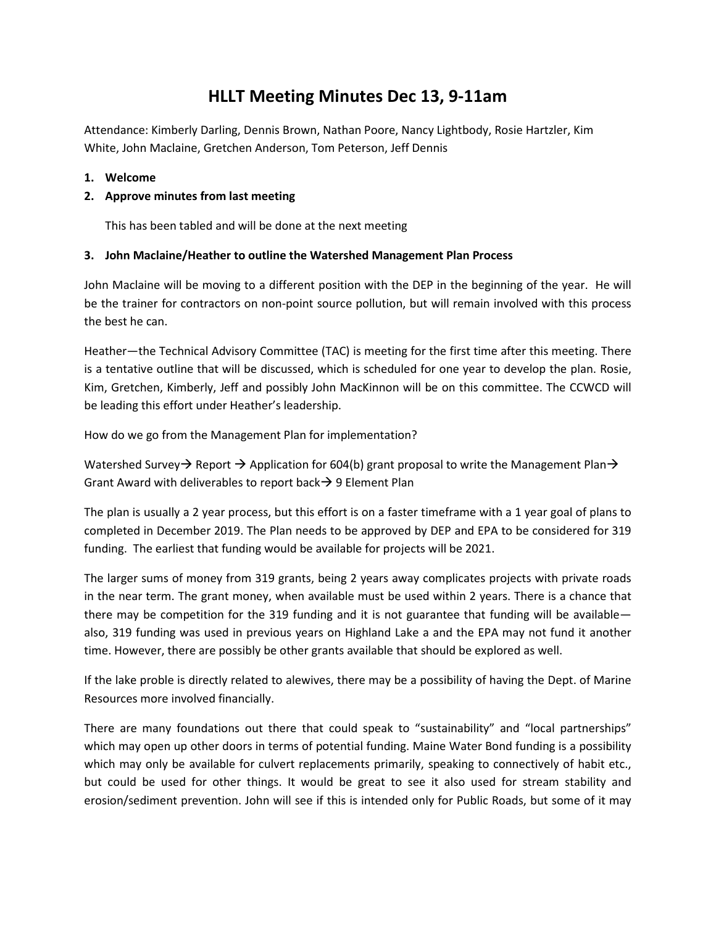# **HLLT Meeting Minutes Dec 13, 9-11am**

Attendance: Kimberly Darling, Dennis Brown, Nathan Poore, Nancy Lightbody, Rosie Hartzler, Kim White, John Maclaine, Gretchen Anderson, Tom Peterson, Jeff Dennis

**1. Welcome**

## **2. Approve minutes from last meeting**

This has been tabled and will be done at the next meeting

### **3. John Maclaine/Heather to outline the Watershed Management Plan Process**

John Maclaine will be moving to a different position with the DEP in the beginning of the year. He will be the trainer for contractors on non-point source pollution, but will remain involved with this process the best he can.

Heather—the Technical Advisory Committee (TAC) is meeting for the first time after this meeting. There is a tentative outline that will be discussed, which is scheduled for one year to develop the plan. Rosie, Kim, Gretchen, Kimberly, Jeff and possibly John MacKinnon will be on this committee. The CCWCD will be leading this effort under Heather's leadership.

How do we go from the Management Plan for implementation?

Watershed Survey  $\rightarrow$  Report  $\rightarrow$  Application for 604(b) grant proposal to write the Management Plan  $\rightarrow$ Grant Award with deliverables to report back  $\rightarrow$  9 Element Plan

The plan is usually a 2 year process, but this effort is on a faster timeframe with a 1 year goal of plans to completed in December 2019. The Plan needs to be approved by DEP and EPA to be considered for 319 funding. The earliest that funding would be available for projects will be 2021.

The larger sums of money from 319 grants, being 2 years away complicates projects with private roads in the near term. The grant money, when available must be used within 2 years. There is a chance that there may be competition for the 319 funding and it is not guarantee that funding will be available also, 319 funding was used in previous years on Highland Lake a and the EPA may not fund it another time. However, there are possibly be other grants available that should be explored as well.

If the lake proble is directly related to alewives, there may be a possibility of having the Dept. of Marine Resources more involved financially.

There are many foundations out there that could speak to "sustainability" and "local partnerships" which may open up other doors in terms of potential funding. Maine Water Bond funding is a possibility which may only be available for culvert replacements primarily, speaking to connectively of habit etc., but could be used for other things. It would be great to see it also used for stream stability and erosion/sediment prevention. John will see if this is intended only for Public Roads, but some of it may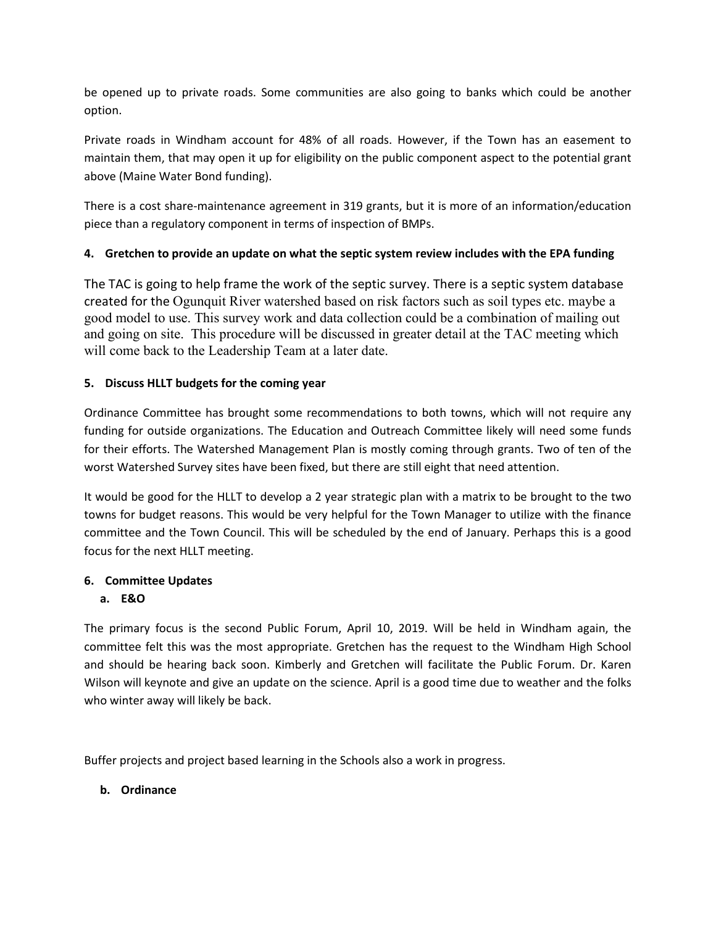be opened up to private roads. Some communities are also going to banks which could be another option.

Private roads in Windham account for 48% of all roads. However, if the Town has an easement to maintain them, that may open it up for eligibility on the public component aspect to the potential grant above (Maine Water Bond funding).

There is a cost share-maintenance agreement in 319 grants, but it is more of an information/education piece than a regulatory component in terms of inspection of BMPs.

# **4. Gretchen to provide an update on what the septic system review includes with the EPA funding**

The TAC is going to help frame the work of the septic survey. There is a septic system database created for the Ogunquit River watershed based on risk factors such as soil types etc. maybe a good model to use. This survey work and data collection could be a combination of mailing out and going on site. This procedure will be discussed in greater detail at the TAC meeting which will come back to the Leadership Team at a later date.

# **5. Discuss HLLT budgets for the coming year**

Ordinance Committee has brought some recommendations to both towns, which will not require any funding for outside organizations. The Education and Outreach Committee likely will need some funds for their efforts. The Watershed Management Plan is mostly coming through grants. Two of ten of the worst Watershed Survey sites have been fixed, but there are still eight that need attention.

It would be good for the HLLT to develop a 2 year strategic plan with a matrix to be brought to the two towns for budget reasons. This would be very helpful for the Town Manager to utilize with the finance committee and the Town Council. This will be scheduled by the end of January. Perhaps this is a good focus for the next HLLT meeting.

## **6. Committee Updates**

## **a. E&O**

The primary focus is the second Public Forum, April 10, 2019. Will be held in Windham again, the committee felt this was the most appropriate. Gretchen has the request to the Windham High School and should be hearing back soon. Kimberly and Gretchen will facilitate the Public Forum. Dr. Karen Wilson will keynote and give an update on the science. April is a good time due to weather and the folks who winter away will likely be back.

Buffer projects and project based learning in the Schools also a work in progress.

### **b. Ordinance**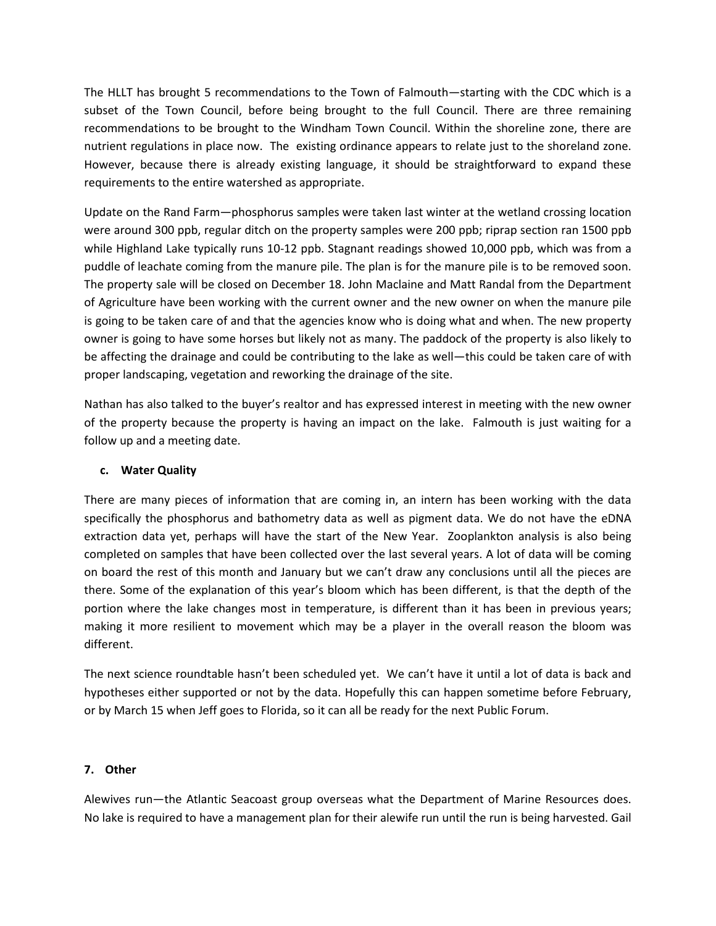The HLLT has brought 5 recommendations to the Town of Falmouth—starting with the CDC which is a subset of the Town Council, before being brought to the full Council. There are three remaining recommendations to be brought to the Windham Town Council. Within the shoreline zone, there are nutrient regulations in place now. The existing ordinance appears to relate just to the shoreland zone. However, because there is already existing language, it should be straightforward to expand these requirements to the entire watershed as appropriate.

Update on the Rand Farm—phosphorus samples were taken last winter at the wetland crossing location were around 300 ppb, regular ditch on the property samples were 200 ppb; riprap section ran 1500 ppb while Highland Lake typically runs 10-12 ppb. Stagnant readings showed 10,000 ppb, which was from a puddle of leachate coming from the manure pile. The plan is for the manure pile is to be removed soon. The property sale will be closed on December 18. John Maclaine and Matt Randal from the Department of Agriculture have been working with the current owner and the new owner on when the manure pile is going to be taken care of and that the agencies know who is doing what and when. The new property owner is going to have some horses but likely not as many. The paddock of the property is also likely to be affecting the drainage and could be contributing to the lake as well—this could be taken care of with proper landscaping, vegetation and reworking the drainage of the site.

Nathan has also talked to the buyer's realtor and has expressed interest in meeting with the new owner of the property because the property is having an impact on the lake. Falmouth is just waiting for a follow up and a meeting date.

### **c. Water Quality**

There are many pieces of information that are coming in, an intern has been working with the data specifically the phosphorus and bathometry data as well as pigment data. We do not have the eDNA extraction data yet, perhaps will have the start of the New Year. Zooplankton analysis is also being completed on samples that have been collected over the last several years. A lot of data will be coming on board the rest of this month and January but we can't draw any conclusions until all the pieces are there. Some of the explanation of this year's bloom which has been different, is that the depth of the portion where the lake changes most in temperature, is different than it has been in previous years; making it more resilient to movement which may be a player in the overall reason the bloom was different.

The next science roundtable hasn't been scheduled yet. We can't have it until a lot of data is back and hypotheses either supported or not by the data. Hopefully this can happen sometime before February, or by March 15 when Jeff goes to Florida, so it can all be ready for the next Public Forum.

### **7. Other**

Alewives run—the Atlantic Seacoast group overseas what the Department of Marine Resources does. No lake is required to have a management plan for their alewife run until the run is being harvested. Gail